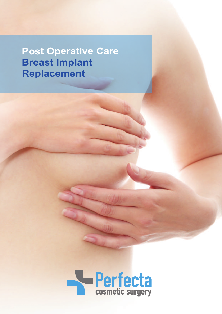**Post Operative Care Breast Implant Replacement**

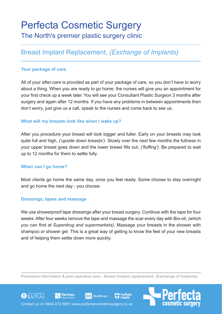# Perfecta Cosmetic Surgery The North's premier plastic surgery clinic

# Breast Implant Replacement, *(Exchange of Implants)*

### **Your package of care.**

All of your after-care is provided as part of your package of care, so you don't have to worry about a thing. When you are ready to go home, the nurses will give you an appointment for your first check up a week later. You will see your Consultant Plastic Surgeon 3 months after surgery and again after 12 months. If you have any problems in between appointments then don't worry, just give us a call, speak to the nurses and come back to see us.

#### **What will my breasts look like when I wake up?**

After you procedure your breast will look bigger and fuller. Early on your breasts may look quite full and high, *('upside down breasts')*. Slowly over the next few months the fullness in your upper breast goes down and the lower breast fills out, *('fluffing')*. Be prepared to wait up to 12 months for them to settle fully.

#### **When can I go home?**

Most clients go home the same day, once you feel ready. Some choose to stay overnight and go home the next day - you choose.

#### **Dressings, tapes and massage**

We use showerproof tape dressings after your breast surgery. Continue with the tape for four weeks. After four weeks remove the tape and massage the scar every day with Bio-oil, *(which you can find at Superdrug and supermarkets)*. Massage your breasts in the shower with shampoo or shower gel. This is a great way of getting to know the feel of your new breasts and of helping them settle down more quickly.

Procedure information & post operative care - Breast implant replacement*, (Exchange of Implants).*

**BMI** Healthcare

**Juffield** 

Contact us on 0844 272 5951 www.perfectacosmeticsurgery.co.uk

<u>■</u> Ramsay

GOBAPRAS